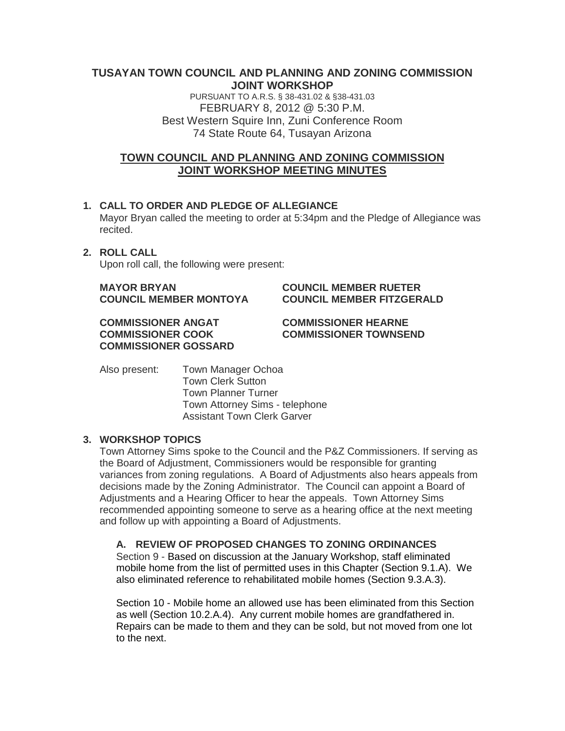#### **TUSAYAN TOWN COUNCIL AND PLANNING AND ZONING COMMISSION JOINT WORKSHOP**

PURSUANT TO A.R.S. § 38-431.02 & §38-431.03 FEBRUARY 8, 2012 @ 5:30 P.M. Best Western Squire Inn, Zuni Conference Room 74 State Route 64, Tusayan Arizona

# **TOWN COUNCIL AND PLANNING AND ZONING COMMISSION JOINT WORKSHOP MEETING MINUTES**

### **1. CALL TO ORDER AND PLEDGE OF ALLEGIANCE**

Mayor Bryan called the meeting to order at 5:34pm and the Pledge of Allegiance was recited.

# **2. ROLL CALL**

Upon roll call, the following were present:

**MAYOR BRYAN COUNCIL MEMBER RUETER**

# **COUNCIL MEMBER MONTOYA COUNCIL MEMBER FITZGERALD**

**COMMISSIONER ANGAT COMMISSIONER HEARNE COMMISSIONER GOSSARD**

**COMMISSIONER COOK COMMISSIONER TOWNSEND**

Also present: Town Manager Ochoa Town Clerk Sutton Town Planner Turner Town Attorney Sims - telephone Assistant Town Clerk Garver

#### **3. WORKSHOP TOPICS**

Town Attorney Sims spoke to the Council and the P&Z Commissioners. If serving as the Board of Adjustment, Commissioners would be responsible for granting variances from zoning regulations. A Board of Adjustments also hears appeals from decisions made by the Zoning Administrator. The Council can appoint a Board of Adjustments and a Hearing Officer to hear the appeals. Town Attorney Sims recommended appointing someone to serve as a hearing office at the next meeting and follow up with appointing a Board of Adjustments.

#### **A. REVIEW OF PROPOSED CHANGES TO ZONING ORDINANCES**

Section 9 - Based on discussion at the January Workshop, staff eliminated mobile home from the list of permitted uses in this Chapter (Section 9.1.A). We also eliminated reference to rehabilitated mobile homes (Section 9.3.A.3).

Section 10 - Mobile home an allowed use has been eliminated from this Section as well (Section 10.2.A.4). Any current mobile homes are grandfathered in. Repairs can be made to them and they can be sold, but not moved from one lot to the next.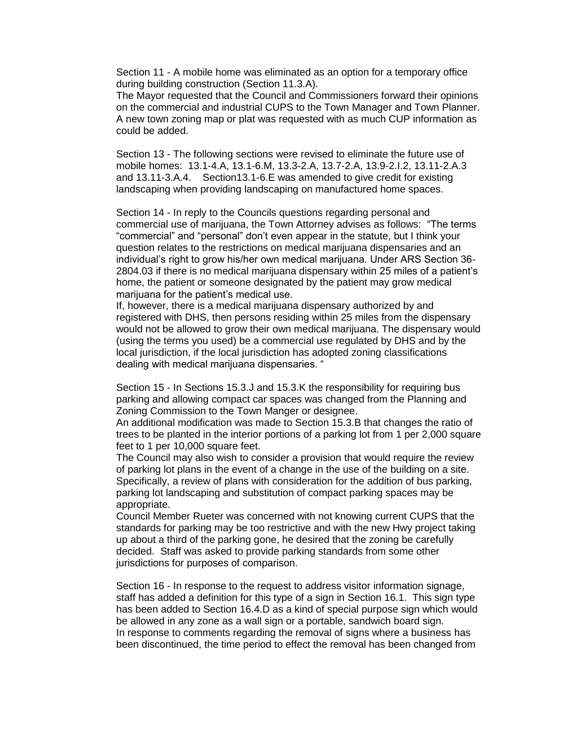Section 11 - A mobile home was eliminated as an option for a temporary office during building construction (Section 11.3.A).

The Mayor requested that the Council and Commissioners forward their opinions on the commercial and industrial CUPS to the Town Manager and Town Planner. A new town zoning map or plat was requested with as much CUP information as could be added.

Section 13 - The following sections were revised to eliminate the future use of mobile homes: 13.1-4.A, 13.1-6.M, 13.3-2.A, 13.7-2.A, 13.9-2.I.2, 13.11-2.A.3 and 13.11-3.A.4. Section13.1-6.E was amended to give credit for existing landscaping when providing landscaping on manufactured home spaces.

Section 14 - In reply to the Councils questions regarding personal and commercial use of marijuana, the Town Attorney advises as follows: "The terms "commercial" and "personal" don't even appear in the statute, but I think your question relates to the restrictions on medical marijuana dispensaries and an individual's right to grow his/her own medical marijuana. Under ARS Section 36- 2804.03 if there is no medical marijuana dispensary within 25 miles of a patient's home, the patient or someone designated by the patient may grow medical marijuana for the patient's medical use.

If, however, there is a medical marijuana dispensary authorized by and registered with DHS, then persons residing within 25 miles from the dispensary would not be allowed to grow their own medical marijuana. The dispensary would (using the terms you used) be a commercial use regulated by DHS and by the local jurisdiction, if the local jurisdiction has adopted zoning classifications dealing with medical marijuana dispensaries. "

Section 15 - In Sections 15.3.J and 15.3.K the responsibility for requiring bus parking and allowing compact car spaces was changed from the Planning and Zoning Commission to the Town Manger or designee.

An additional modification was made to Section 15.3.B that changes the ratio of trees to be planted in the interior portions of a parking lot from 1 per 2,000 square feet to 1 per 10,000 square feet.

The Council may also wish to consider a provision that would require the review of parking lot plans in the event of a change in the use of the building on a site. Specifically, a review of plans with consideration for the addition of bus parking, parking lot landscaping and substitution of compact parking spaces may be appropriate.

Council Member Rueter was concerned with not knowing current CUPS that the standards for parking may be too restrictive and with the new Hwy project taking up about a third of the parking gone, he desired that the zoning be carefully decided. Staff was asked to provide parking standards from some other jurisdictions for purposes of comparison.

Section 16 - In response to the request to address visitor information signage, staff has added a definition for this type of a sign in Section 16.1. This sign type has been added to Section 16.4.D as a kind of special purpose sign which would be allowed in any zone as a wall sign or a portable, sandwich board sign. In response to comments regarding the removal of signs where a business has been discontinued, the time period to effect the removal has been changed from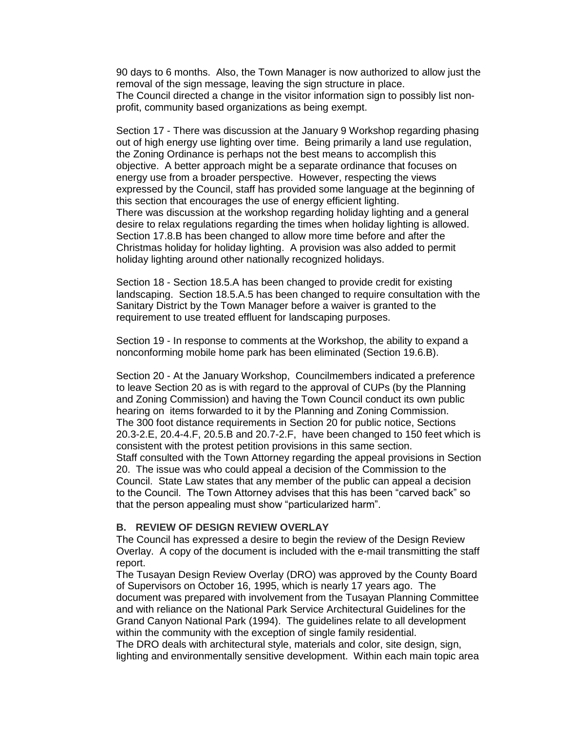90 days to 6 months. Also, the Town Manager is now authorized to allow just the removal of the sign message, leaving the sign structure in place. The Council directed a change in the visitor information sign to possibly list nonprofit, community based organizations as being exempt.

Section 17 - There was discussion at the January 9 Workshop regarding phasing out of high energy use lighting over time. Being primarily a land use regulation, the Zoning Ordinance is perhaps not the best means to accomplish this objective. A better approach might be a separate ordinance that focuses on energy use from a broader perspective. However, respecting the views expressed by the Council, staff has provided some language at the beginning of this section that encourages the use of energy efficient lighting. There was discussion at the workshop regarding holiday lighting and a general desire to relax regulations regarding the times when holiday lighting is allowed. Section 17.8.B has been changed to allow more time before and after the Christmas holiday for holiday lighting. A provision was also added to permit holiday lighting around other nationally recognized holidays.

Section 18 - Section 18.5.A has been changed to provide credit for existing landscaping. Section 18.5.A.5 has been changed to require consultation with the Sanitary District by the Town Manager before a waiver is granted to the requirement to use treated effluent for landscaping purposes.

Section 19 - In response to comments at the Workshop, the ability to expand a nonconforming mobile home park has been eliminated (Section 19.6.B).

Section 20 - At the January Workshop, Councilmembers indicated a preference to leave Section 20 as is with regard to the approval of CUPs (by the Planning and Zoning Commission) and having the Town Council conduct its own public hearing on items forwarded to it by the Planning and Zoning Commission. The 300 foot distance requirements in Section 20 for public notice, Sections 20.3-2.E, 20.4-4.F, 20.5.B and 20.7-2.F, have been changed to 150 feet which is consistent with the protest petition provisions in this same section. Staff consulted with the Town Attorney regarding the appeal provisions in Section 20. The issue was who could appeal a decision of the Commission to the Council. State Law states that any member of the public can appeal a decision to the Council. The Town Attorney advises that this has been "carved back" so that the person appealing must show "particularized harm".

#### **B. REVIEW OF DESIGN REVIEW OVERLAY**

The Council has expressed a desire to begin the review of the Design Review Overlay. A copy of the document is included with the e-mail transmitting the staff report.

The Tusayan Design Review Overlay (DRO) was approved by the County Board of Supervisors on October 16, 1995, which is nearly 17 years ago. The document was prepared with involvement from the Tusayan Planning Committee and with reliance on the National Park Service Architectural Guidelines for the Grand Canyon National Park (1994). The guidelines relate to all development within the community with the exception of single family residential.

The DRO deals with architectural style, materials and color, site design, sign, lighting and environmentally sensitive development. Within each main topic area